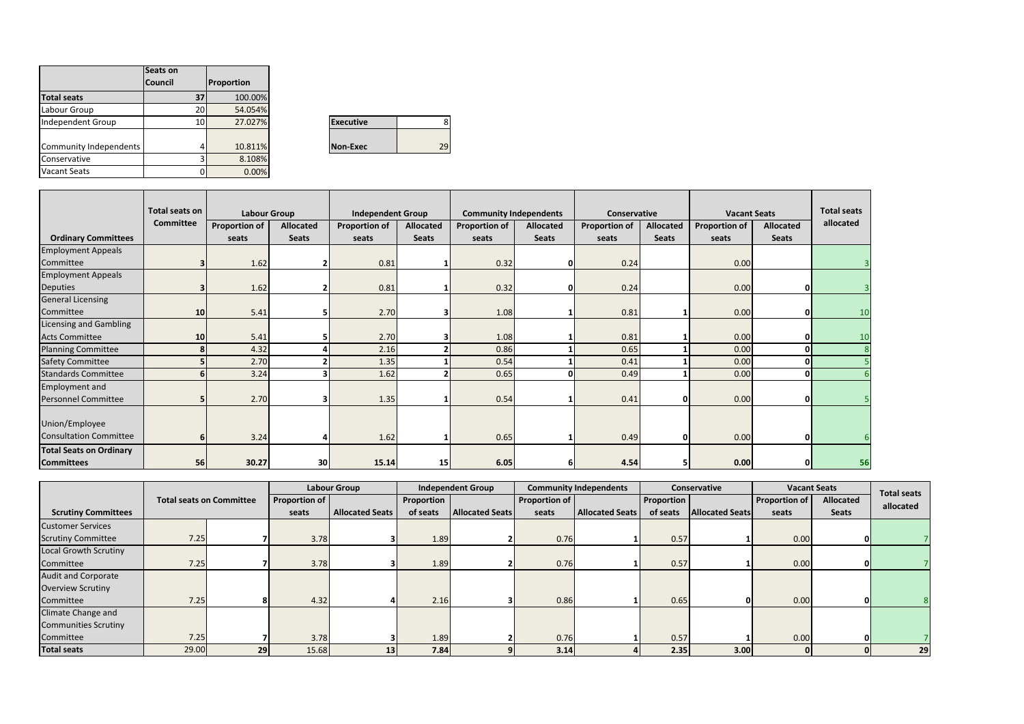|                        | Seats on        |            |                  |  |
|------------------------|-----------------|------------|------------------|--|
|                        | <b>Council</b>  | Proportion |                  |  |
| <b>Total seats</b>     | 37              | 100.00%    |                  |  |
| Labour Group           | <b>20</b>       | 54.054%    |                  |  |
| Independent Group      | 10 <sup>1</sup> | 27.027%    | <b>Executive</b> |  |
|                        |                 |            |                  |  |
| Community Independents | 4               | 10.811%    | Non-Exec         |  |
| Conservative           |                 | 8.108%     |                  |  |
| <b>Vacant Seats</b>    |                 | 0.00%      |                  |  |

| <b>Executive</b> |  |
|------------------|--|
|                  |  |
| Non-Exec         |  |

|                                | Total seats on | <b>Labour Group</b>  |                  | <b>Independent Group</b> |                  | <b>Community Independents</b> |              | Conservative         |                  | <b>Vacant Seats</b>  |              | <b>Total seats</b> |
|--------------------------------|----------------|----------------------|------------------|--------------------------|------------------|-------------------------------|--------------|----------------------|------------------|----------------------|--------------|--------------------|
|                                | Committee      | <b>Proportion of</b> | <b>Allocated</b> | <b>Proportion of</b>     | <b>Allocated</b> | <b>Proportion of</b>          | Allocated    | <b>Proportion of</b> | <b>Allocated</b> | <b>Proportion of</b> | Allocated    | allocated          |
| <b>Ordinary Committees</b>     |                | seats                | <b>Seats</b>     | seats                    | <b>Seats</b>     | seats                         | <b>Seats</b> | seats                | <b>Seats</b>     | seats                | <b>Seats</b> |                    |
| <b>Employment Appeals</b>      |                |                      |                  |                          |                  |                               |              |                      |                  |                      |              |                    |
| Committee                      |                | 1.62                 |                  | 0.81                     |                  | 0.32                          | 0            | 0.24                 |                  | 0.00                 |              |                    |
| <b>Employment Appeals</b>      |                |                      |                  |                          |                  |                               |              |                      |                  |                      |              |                    |
| <b>Deputies</b>                | З              | 1.62                 |                  | 0.81                     |                  | 0.32                          | 0            | 0.24                 |                  | 0.00                 | $\Omega$     |                    |
| <b>General Licensing</b>       |                |                      |                  |                          |                  |                               |              |                      |                  |                      |              |                    |
| Committee                      | 10             | 5.41                 |                  | 2.70                     | 3                | 1.08                          |              | 0.81                 |                  | 0.00                 | n            | 10                 |
| <b>Licensing and Gambling</b>  |                |                      |                  |                          |                  |                               |              |                      |                  |                      |              |                    |
| <b>Acts Committee</b>          | 10             | 5.41                 |                  | 2.70                     | 3                | 1.08                          |              | 0.81                 |                  | 0.00                 |              | 10                 |
| <b>Planning Committee</b>      | 8              | 4.32                 |                  | 2.16                     |                  | 0.86                          |              | 0.65                 |                  | 0.00                 |              |                    |
| <b>Safety Committee</b>        | 5              | 2.70                 |                  | 1.35                     |                  | 0.54                          |              | 0.41                 |                  | 0.00                 | <sup>o</sup> |                    |
| <b>Standards Committee</b>     |                | 3.24                 |                  | 1.62                     | 2                | 0.65                          | $\Omega$     | 0.49                 |                  | 0.00                 |              |                    |
| <b>Employment and</b>          |                |                      |                  |                          |                  |                               |              |                      |                  |                      |              |                    |
| <b>Personnel Committee</b>     | 5              | 2.70                 |                  | 1.35                     |                  | 0.54                          |              | 0.41                 |                  | 0.00                 | $\Omega$     |                    |
| Union/Employee                 |                |                      |                  |                          |                  |                               |              |                      |                  |                      |              |                    |
|                                |                |                      |                  |                          |                  |                               |              |                      |                  |                      |              |                    |
| <b>Consultation Committee</b>  | 6              | 3.24                 |                  | 1.62                     |                  | 0.65                          |              | 0.49                 |                  | 0.00                 | $\Omega$     |                    |
| <b>Total Seats on Ordinary</b> |                |                      |                  |                          |                  |                               |              |                      |                  |                      |              |                    |
| <b>Committees</b>              | 56             | 30.27                | 30               | 15.14                    | 15               | 6.05                          | 6            | 4.54                 |                  | 0.00                 |              | 56                 |

|                             | <b>Total seats on Committee</b> |    |                      | <b>Labour Group</b>    |            | <b>Independent Group</b> |               | <b>Community Independents</b> |                                    | <b>Conservative</b> |                      | <b>Vacant Seats</b> | <b>Total seats</b> |
|-----------------------------|---------------------------------|----|----------------------|------------------------|------------|--------------------------|---------------|-------------------------------|------------------------------------|---------------------|----------------------|---------------------|--------------------|
|                             |                                 |    | <b>Proportion of</b> |                        | Proportion |                          | Proportion of |                               | <b>Proportion</b>                  |                     | <b>Proportion of</b> | Allocated           | allocated          |
| <b>Scrutiny Committees</b>  |                                 |    | seats                | <b>Allocated Seats</b> | of seats   | <b>Allocated Seats</b>   | seats         | <b>Allocated Seats</b>        | <b>Allocated Seats</b><br>of seats |                     | seats                | Seats               |                    |
| <b>Customer Services</b>    |                                 |    |                      |                        |            |                          |               |                               |                                    |                     |                      |                     |                    |
| <b>Scrutiny Committee</b>   | 7.25                            |    | 3.78                 |                        | 1.89       |                          | 0.76          |                               | 0.57                               |                     | 0.00                 |                     |                    |
| Local Growth Scrutiny       |                                 |    |                      |                        |            |                          |               |                               |                                    |                     |                      |                     |                    |
| Committee                   | 7.25                            |    | 3.78                 |                        | 1.89       |                          | 0.76          |                               | 0.57                               |                     | 0.00                 |                     |                    |
| <b>Audit and Corporate</b>  |                                 |    |                      |                        |            |                          |               |                               |                                    |                     |                      |                     |                    |
| <b>Overview Scrutiny</b>    |                                 |    |                      |                        |            |                          |               |                               |                                    |                     |                      |                     |                    |
| Committee                   | 7.25                            |    | 4.32                 |                        | 2.16       |                          | 0.86          |                               | 0.65                               |                     | 0.00                 |                     | 8                  |
| Climate Change and          |                                 |    |                      |                        |            |                          |               |                               |                                    |                     |                      |                     |                    |
| <b>Communities Scrutiny</b> |                                 |    |                      |                        |            |                          |               |                               |                                    |                     |                      |                     |                    |
| Committee                   | 7.25                            |    | 3.78                 |                        | 1.89       |                          | 0.76          |                               | 0.57                               |                     | 0.00                 |                     |                    |
| <b>Total seats</b>          | 29.00                           | 29 | 15.68                | 13                     | 7.84       |                          | 3.14          |                               | 2.35                               | 3.00                |                      |                     | 29                 |